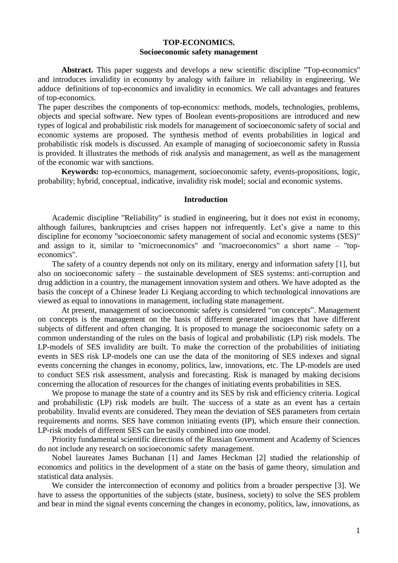## **TOP-ECONOMICS. Socioeconomic safety management**

Abstract. This paper suggests and develops a new scientific discipline "Top-economics" and introduces invalidity in economy by analogy with failure in reliability in engineering. We adduce definitions of top-economics and invalidity in economics. We call advantages and features of top-economics.

The paper describes the components of top-economics: methods, models, technologies, problems, objects and special software. New types of Boolean events-propositions are introduced and new types of logical and probabilistic risk models for management of socioeconomic safety of social and economic systems are proposed. The synthesis method of events probabilities in logical and probabilistic risk models is discussed. An example of managing of socioeconomic safety in Russia is provided. It illustrates the methods of risk analysis and management, as well as the management of the economic war with sanctions.

**Keywords:** top-economics, management, socioeconomic safety, events-propositions, logic, probability; hybrid, conceptual, indicative, invalidity risk model; social and economic systems.

#### **Introduction**

Academic discipline "Reliability" is studied in engineering, but it does not exist in economy, although failures, bankruptcies and crises happen not infrequently. Let's give a name to this discipline for economy "socioeconomic safety management of social and economic systems (SES)" and assign to it, similar to "microeconomics" and "macroeconomics" a short name – "topeconomics".

The safety of a country depends not only on its military, energy and information safety [1], but also on socioeconomic safety – the sustainable development of SES systems: anti-corruption and drug addiction in a country, the management innovation system and others. We have adopted as the basis the concept of a Chinese leader Li Keqiang according to which technological innovations are viewed as equal to innovations in management, including state management.

At present, management of socioeconomic safety is considered "on concepts". Management on concepts is the management on the basis of different generated images that have different subjects of different and often changing. It is proposed to manage the socioeconomic safety on a common understanding of the rules on the basis of logical and probabilistic (LP) risk models. The LP-models of SES invalidity are built. To make the correction of the probabilities of initiating events in SES risk LP-models one can use the data of the monitoring of SES indexes and signal events concerning the changes in economy, politics, law, innovations, etc. The LP-models are used to conduct SES risk assessment, analysis and forecasting. Risk is managed by making decisions concerning the allocation of resources for the changes of initiating events probabilities in SES.

We propose to manage the state of a country and its SES by risk and efficiency criteria. Logical and probabilistic (LP) risk models are built. The success of a state as an event has a certain probability. Invalid events are considered. They mean the deviation of SES parameters from certain requirements and norms. SES have common initiating events (IP), which ensure their connection. LP-risk models of different SES can be easily combined into one model.

Priority fundamental scientific directions of the Russian Government and Academy of Sciences do not include any research on socioeconomic safety management.

Nobel laureates James Buchanan [1] and James Heckman [2] studied the relationship of economics and politics in the development of a state on the basis of game theory, simulation and statistical data analysis.

We consider the interconnection of economy and politics from a broader perspective [3]. We have to assess the opportunities of the subjects (state, business, society) to solve the SES problem and bear in mind the signal events concerning the changes in economy, politics, law, innovations, as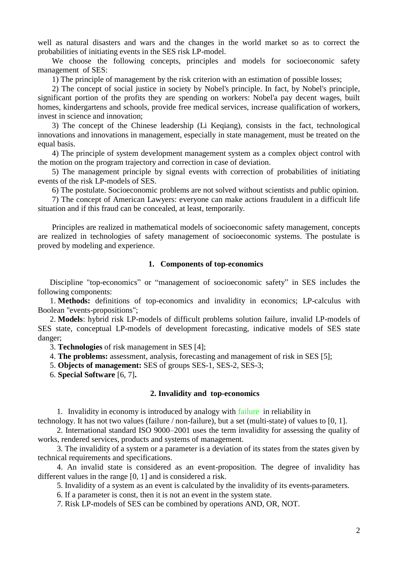well as natural disasters and wars and the changes in the world market so as to correct the probabilities of initiating events in the SES risk LP-model.

We choose the following concepts, principles and models for socioeconomic safety management of SES:

1) The principle of management by the risk criterion with an estimation of possible losses;

2) The concept of social justice in society by Nobel's principle. In fact, by Nobel's principle, significant portion of the profits they are spending on workers: Nobel'a pay decent wages, built homes, kindergartens and schools, provide free medical services, increase qualification of workers, invest in science and innovation;

3) The concept of the Chinese leadership (Li Keqiang), consists in the fact, technological innovations and innovations in management, especially in state management, must be treated on the equal basis.

4) The principle of system development management system as a complex object control with the motion on the program trajectory and correction in case of deviation.

5) The management principle by signal events with correction of probabilities of initiating events of the risk LP-models of SES.

6) The postulate. Socioeconomic problems are not solved without scientists and public opinion.

7) The concept of American Lawyers: everyone can make actions fraudulent in a difficult life situation and if this fraud can be concealed, at least, temporarily.

Principles are realized in mathematical models of socioeconomic safety management, concepts are realized in technologies of safety management of socioeconomic systems. The postulate is proved by modeling and experience.

### **1. Components of top-economics**

Discipline "top-economics" or "management of socioeconomic safety" in SES includes the following components:

1. **Methods:** definitions of top-economics and invalidity in economics; LP-calculus with Boolean "events-propositions";

2. **Models**: hybrid risk LP-models of difficult problems solution failure, invalid LP-models of SES state, conceptual LP-models of development forecasting, indicative models of SES state danger;

3. **Technologies** of risk management in SES [4];

4. **The problems:** assessment, analysis, forecasting and management of risk in SES [5];

5. **Objects of management:** SES of groups SES-1, SES-2, SES-3;

6. **Special Software** [6, 7]**.**

## **2. Invalidity and top-economics**

1. Invalidity in economy is introduced by analogy with failure in reliability in

technology. It has not two values (failure / non-failure), but a set (multi-state) of values to [0, 1].

2. International standard ISO 9000–2001 uses the term invalidity for assessing the quality of works, rendered services, products and systems of management.

3. The invalidity of a system or a parameter is a deviation of its states from the states given by technical requirements and specifications.

4. An invalid state is considered as an event-proposition. The degree of invalidity has different values in the range [0, 1] and is considered a risk.

5. Invalidity of a system as an event is calculated by the invalidity of its events-parameters.

6. If a parameter is const, then it is not an event in the system state.

*7*. Risk LP-models of SES can be combined by operations AND, OR, NOT.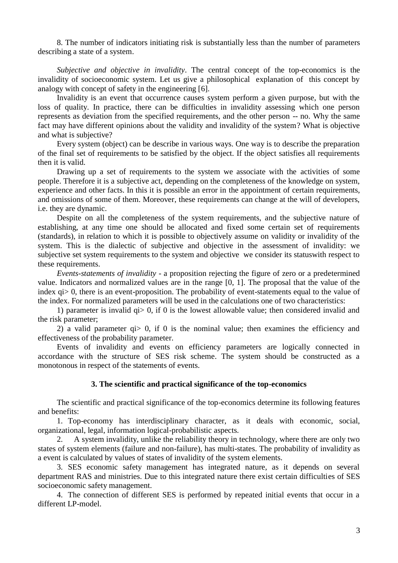8. The number of indicators initiating risk is substantially less than the number of parameters describing a state of a system.

*Subjective and objective in invalidity.* The central concept of the top-economics is the invalidity of socioeconomic system. Let us give a philosophical explanation of this concept by analogy with concept of safety in the engineering [6].

Invalidity is an event that occurrence causes system perform a given purpose, but with the loss of quality. In practice, there can be difficulties in invalidity assessing which one person represents as deviation from the specified requirements, and the other person -- no. Why the same fact may have different opinions about the validity and invalidity of the system? What is objective and what is subjective?

Every system (object) can be describe in various ways. One way is to describe the preparation of the final set of requirements to be satisfied by the object. If the object satisfies all requirements then it is valid.

Drawing up a set of requirements to the system we associate with the activities of some people. Therefore it is a subjective act, depending on the completeness of the knowledge on system, experience and other facts. In this it is possible an error in the appointment of certain requirements, and omissions of some of them. Moreover, these requirements can change at the will of developers, i.e. they are dynamic.

Despite on all the completeness of the system requirements, and the subjective nature of establishing, at any time one should be allocated and fixed some certain set of requirements (standards), in relation to which it is possible to objectively assume on validity or invalidity of the system. This is the dialectic of subjective and objective in the assessment of invalidity: we subjective set system requirements to the system and objective we consider its statuswith respect to these requirements.

*Events-statements of invalidity* - a proposition rejecting the figure of zero or a predetermined value. Indicators and normalized values are in the range [0, 1]. The proposal that the value of the index qi > 0, there is an event-proposition. The probability of event-statements equal to the value of the index. For normalized parameters will be used in the calculations one of two characteristics:

1) parameter is invalid qi> 0, if 0 is the lowest allowable value; then considered invalid and the risk parameter;

2) a valid parameter qi> 0, if 0 is the nominal value; then examines the efficiency and effectiveness of the probability parameter.

Events of invalidity and events on efficiency parameters are logically connected in accordance with the structure of SES risk scheme. The system should be constructed as a monotonous in respect of the statements of events.

# **3. The scientific and practical significance of the top-economics**

The scientific and practical significance of the top-economics determine its following features and benefits:

1. Top-economy has interdisciplinary character, as it deals with economic, social, organizational, legal, information logical-probabilistic aspects.

2. A system invalidity, unlike the reliability theory in technology, where there are only two states of system elements (failure and non-failure), has multi-states. The probability of invalidity as a event is calculated by values of states of invalidity of the system elements.

3. SES economic safety management has integrated nature, as it depends on several department RAS and ministries. Due to this integrated nature there exist certain difficulties of SES socioeconomic safety management.

4. The connection of different SES is performed by repeated initial events that occur in a different LP-model.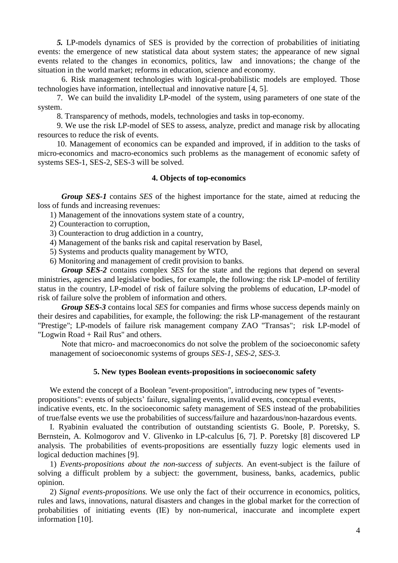*5.* LP-models dynamics of SES is provided by the correction of probabilities of initiating events: the emergence of new statistical data about system states; the appearance of new signal events related to the changes in economics, politics, law and innovations; the change of the situation in the world market; reforms in education, science and economy.

6. Risk management technologies with logical-probabilistic models are employed. Those technologies have information, intellectual and innovative nature [4, 5].

7. We can build the invalidity LP-model of the system, using parameters of one state of the system.

8. Transparency of methods, models, technologies and tasks in top-economy.

9. We use the risk LP-model of SES to assess, analyze, predict and manage risk by allocating resources to reduce the risk of events.

10. Management of economics can be expanded and improved, if in addition to the tasks of micro-economics and macro-economics such problems as the management of economic safety of systems SES-1, SES-2, SES-3 will be solved.

## **4. Objects of top-economics**

*Group SES-1* contains *SES* of the highest importance for the state, aimed at reducing the loss of funds and increasing revenues:

1) Management of the innovations system state of a country,

2) Counteraction to corruption,

3) Counteraction to drug addiction in a country,

4) Management of the banks risk and capital reservation by Basel,

5) Systems and products quality management by WTO,

6) Monitoring and management of credit provision to banks.

*Group SES-2* contains complex *SES* for the state and the regions that depend on several ministries, agencies and legislative bodies, for example, the following: the risk LP-model of fertility status in the country, LP-model of risk of failure solving the problems of education, LP-model of risk of failure solve the problem of information and others.

*Group SES-3* contains local *SES* for companies and firms whose success depends mainly on their desires and capabilities, for example, the following: the risk LP-management of the restaurant "Prestige"; LP-models of failure risk management company ZAO "Transas"; risk LP-model of "Logwin Road + Rail Rus" and others.

Note that micro- and macroeconomics do not solve the problem of the socioeconomic safety management of socioeconomic systems of groups *SES-1, SES-2, SES-3.*

### **5. New types Boolean events-propositions in socioeconomic safety**

We extend the concept of a Boolean "event-proposition", introducing new types of "eventspropositions": events of subjects' failure, signaling events, invalid events, conceptual events, indicative events, etc. In the socioeconomic safety management of SES instead of the probabilities of true/false events we use the probabilities of success/failure and hazardous/non-hazardous events.

I. Ryabinin evaluated the contribution of outstanding scientists G. Boole, P. Poretsky, S. Bernstein, A. Kolmogorov and V. Glivenko in LP-calculus [6, 7]. P. Poretsky [8] discovered LP analysis. The probabilities of events-propositions are essentially fuzzy logic elements used in logical deduction machines [9].

1) *Events-propositions about the non-success of subjects*. An event-subject is the failure of solving a difficult problem by a subject: the government, business, banks, academics, public opinion.

2) *Signal events-propositions.* We use only the fact of their occurrence in economics, politics, rules and laws, innovations, natural disasters and changes in the global market for the correction of probabilities of initiating events (IE) by non-numerical, inaccurate and incomplete expert information [10].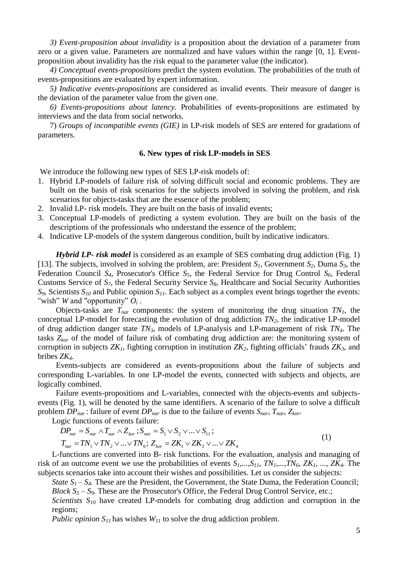*3) Event-proposition about invalidity* is a proposition about the deviation of a parameter from zero or a given value. Parameters are normalized and have values within the range [0, 1]. Eventproposition about invalidity has the risk equal to the parameter value (the indicator).

*4) Conceptual events-propositions* predict the system evolution. The probabilities of the truth of events-propositions are evaluated by expert information.

*5) Indicative events-propositions* are considered as invalid events. Their measure of danger is the deviation of the parameter value from the given one.

*6) Events-propositions about latency.* Probabilities of events-propositions are estimated by interviews and the data from social networks.

7) *Groups of incompatible events (GIE)* in LP-risk models of SES are entered for gradations of parameters.

### **6. New types of risk LP-models in SES**

We introduce the following new types of SES LP-risk models of:

- 1. Hybrid LP-models of failure risk of solving difficult social and economic problems. They are built on the basis of risk scenarios for the subjects involved in solving the problem, and risk scenarios for objects-tasks that are the essence of the problem;
- 2. Invalid LP- risk models. They are built on the basis of invalid events;
- 3. Conceptual LP-models of predicting a system evolution. They are built on the basis of the descriptions of the professionals who understand the essence of the problem;
- 4. Indicative LP-models of the system dangerous condition, built by indicative indicators.

*Hybrid LP- risk model* is considered as an example of SES combating drug addiction (Fig. 1) [13]. The subjects, involved in solving the problem, are: President  $S<sub>1</sub>$ , Government  $S<sub>2</sub>$ , Duma  $S<sub>3</sub>$ , the Federation Council *S4*, Prosecutor's Office *S5*, the Federal Service for Drug Control *S6*, Federal Customs Service of *S7*, the Federal Security Service *S8*, Healthcare and Social Security Authorities *S9*, Scientists *S<sup>10</sup>* and Public opinion *S11*. Each subject as a complex event brings together the events: "wish" *W* and "opportunity"  $O_i$ .

Objects-tasks are  $T_{nar}$  components: the system of monitoring the drug situation  $TN_I$ , the conceptual LP-model for forecasting the evolution of drug addiction *TN2*, the indicative LP-model of drug addiction danger state *TN3*, models of LP-analysis and LP-management of risk *TN4*. The tasks *Zkor* of the model of failure risk of combating drug addiction are: the monitoring system of corruption in subjects *ZK1*, fighting corruption in institution *ZK2*, fighting officials' frauds *ZK3*, and bribes *ZK4.*

Events-subjects are considered as events-propositions about the failure of subjects and corresponding L-variables. In one LP-model the events, connected with subjects and objects, are logically combined.

Failure events-propositions and L-variables, connected with the objects-events and subjectsevents (Fig. 1), will be denoted by the same identifiers. A scenario of the failure to solve a difficult

problem 
$$
DP_{nar}
$$
: failure of event  $DP_{nar}$  is due to the failure of events  $S_{nar}$ ,  $T_{nar}$ ,  $Z_{kor}$ .  
Logic functions of events failure:  
\n
$$
DP_{nar} = S_{nar} \wedge T_{nar} \wedge Z_{kor}
$$
;  $S_{nar} = S_1 \vee S_2 \vee ... \vee S_{11}$ ;  
\n
$$
T_{nar} = TN_1 \vee TN_2 \vee ... \vee TN_6
$$
;  $Z_{kor} = ZK_1 \vee ZK_2 \vee ... \vee ZK_4$  (1)

L-functions are converted into B- risk functions. For the evaluation, analysis and managing of risk of an outcome event we use the probabilities of events *S1,...,S11*, *TN1,...,TN6*, *ZK1, ..., ZK4.* The subjects scenarios take into account their wishes and possibilities. Let us consider the subjects:

*State*  $S_1 - S_4$ . These are the President, the Government, the State Duma, the Federation Council; *Block S<sup>5</sup>* – *S9.* These are the Prosecutor's Office, the Federal Drug Control Service, etc.;

*Scientists S<sup>10</sup>* have created LP-models for combating drug addiction and corruption in the regions;

*Public opinion*  $S_{11}$  has wishes  $W_{11}$  to solve the drug addiction problem.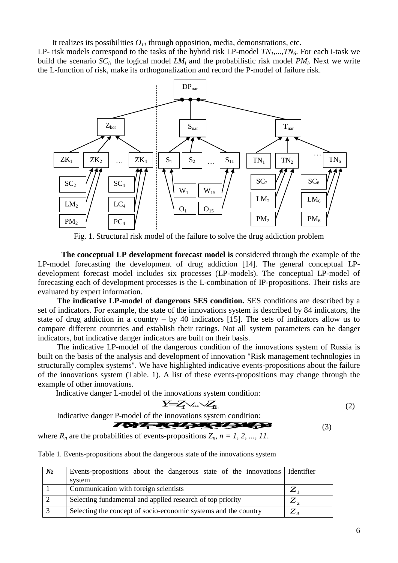It realizes its possibilities  $O<sub>11</sub>$  through opposition, media, demonstrations, etc.

LP- risk models correspond to the tasks of the hybrid risk LP-model *TN1,...,TN6*. For each i-task we build the scenario  $SC_i$ , the logical model  $LM_i$  and the probabilistic risk model  $PM_i$ . Next we write the L-function of risk, make its orthogonalization and record the P-model of failure risk.



Fig. 1. Structural risk model of the failure to solve the drug addiction problem

**The conceptual LP development forecast model is** considered through the example of the LP-model forecasting the development of drug addiction [14]. The general conceptual LPdevelopment forecast model includes six processes (LP-models). The conceptual LP-model of forecasting each of development processes is the L-combination of IP-propositions. Their risks are evaluated by expert information.

**The indicative LP-model of dangerous SES condition.** SES conditions are described by a set of indicators. For example, the state of the innovations system is described by 84 indicators, the state of drug addiction in a country – by 40 indicators [15]. The sets of indicators allow us to compare different countries and establish their ratings. Not all system parameters can be danger indicators, but indicative danger indicators are built on their basis.

The indicative LP-model of the dangerous condition of the innovations system of Russia is built on the basis of the analysis and development of innovation "Risk management technologies in structurally complex systems". We have highlighted indicative events-propositions about the failure of the innovations system (Table. 1). A list of these events-propositions may change through the example of other innovations.

Indicative danger L-model of the innovations system condition:

$$
Y = Z_1 \vee ... \vee Z_n \tag{2}
$$

Indicative danger P-model of the innovations system condition:

r L-model of the innovations system condition:  
\n
$$
Y = Y \rightarrow \gamma
$$
\n(2)  
\n
$$
P
$$
\n(3)  
\nabilities of events-  
\n
$$
T = \gamma
$$
\n(3)

where  $R_n$  are the probabilities of events-propositions  $Z_n$ ,  $n = 1, 2, ..., 11$ .

|  |  |  | Table 1. Events-propositions about the dangerous state of the innovations system |  |
|--|--|--|----------------------------------------------------------------------------------|--|
|  |  |  |                                                                                  |  |

| $N_2$ | Events-propositions about the dangerous state of the innovations   Identifier<br>system |                |
|-------|-----------------------------------------------------------------------------------------|----------------|
|       | Communication with foreign scientists                                                   |                |
|       | Selecting fundamental and applied research of top priority                              |                |
|       | Selecting the concept of socio-economic systems and the country                         | $\overline{2}$ |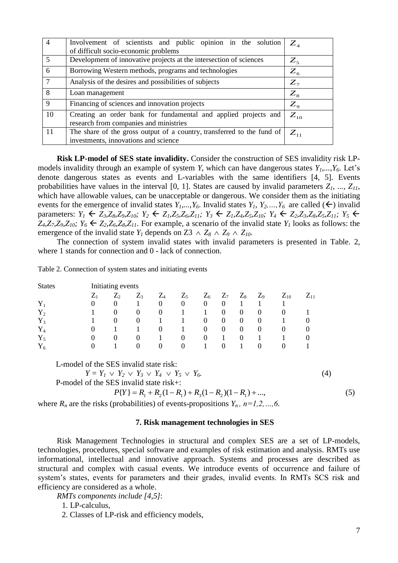| $\overline{4}$ | Involvement of scientists and public opinion in the solution                                                   | $Z_{\scriptscriptstyle{A}}$ |
|----------------|----------------------------------------------------------------------------------------------------------------|-----------------------------|
|                | of difficult socio-economic problems                                                                           |                             |
| 5              | Development of innovative projects at the intersection of sciences                                             | $Z_{5}$                     |
| 6              | Borrowing Western methods, programs and technologies                                                           | $Z_{6}$                     |
|                | Analysis of the desires and possibilities of subjects                                                          | $Z_{7}$                     |
| 8              | Loan management                                                                                                | $Z_{8}$                     |
| 9              | Financing of sciences and innovation projects                                                                  | $Z_{\rm o}$                 |
| 10             | Creating an order bank for fundamental and applied projects and<br>research from companies and ministries      | $Z_{10}$                    |
| 11             | The share of the gross output of a country, transferred to the fund of<br>investments, innovations and science | $\overline{Z}_{11}$         |

**Risk LP-model of SES state invalidity.** Consider the construction of SES invalidity risk LPmodels invalidity through an example of system *Y*, which can have dangerous states *Y1,...,Y6*. Let's denote dangerous states as events and L-variables with the same identifiers [4, 5]. Events probabilities have values in the interval [0, 1]. States are caused by invalid parameters  $Z_1$ , ...,  $Z_{11}$ , which have allowable values, can be unacceptable or dangerous. We consider them as the initiating events for the emergence of invalid states  $Y_1, ..., Y_6$ . Invalid states  $Y_1, Y_2, ..., Y_6$  are called  $(\leftarrow)$  invalid parameters:  $Y_1 \leftarrow Z_3, Z_8, Z_9, Z_{10}$ ;  $Y_2 \leftarrow Z_1, Z_5, Z_6, Z_{11}$ ;  $Y_3 \leftarrow Z_1, Z_4, Z_5, Z_{10}$ ;  $Y_4 \leftarrow Z_2, Z_3, Z_8, Z_5, Z_{11}$ ;  $Y_5 \leftarrow$  $Z_4, Z_7, Z_9, Z_{10}$ ;  $Y_6 \leftarrow Z_2, Z_6, Z_8, Z_{11}$ . For example, a scenario of the invalid state  $Y_1$  looks as follows: the emergence of the invalid state  $Y_I$  depends on  $Z_3 \wedge Z_8 \wedge Z_9 \wedge Z_{10}$ .

The connection of system invalid states with invalid parameters is presented in Table. 2, where 1 stands for connection and 0 - lack of connection.

Table 2. Connection of system states and initiating events

| <b>States</b> | Initiating events |                   |                 |          |                  |                |                  |                |          |          |          |
|---------------|-------------------|-------------------|-----------------|----------|------------------|----------------|------------------|----------------|----------|----------|----------|
|               | $Z_1$             | $\mathcal{L}_{2}$ | $\mathcal{L}_3$ | $Z_4$    | $Z_5$            | $Z_6$          | $Z_7$            | $Z_8$          | $Z_9$    | $Z_{10}$ | $Z_{11}$ |
| $Y_1$         | $\theta$          | $\theta$          |                 | $\theta$ | $\boldsymbol{0}$ | $\theta$       | $\boldsymbol{0}$ |                |          |          |          |
| $Y_2$         |                   | $\theta$          | $_{0}$          | $\theta$ |                  |                | $\Omega$         | $\overline{0}$ | $\theta$ | $\Omega$ |          |
| $Y_3$         |                   | $\theta$          | $\theta$        |          |                  | $\overline{0}$ | $\theta$         | $\Omega$       | $\theta$ |          | $\Omega$ |
| ${\rm Y}_4$   | $\theta$          |                   |                 | $\theta$ |                  | $\theta$       | $\theta$         | $\overline{0}$ | $\theta$ | $\theta$ | $\Omega$ |
| $Y_5$         | $\theta$          | $\theta$          | $\theta$        |          | $\theta$         | $\overline{0}$ |                  | 0              |          |          | $\Omega$ |
| ${\rm Y}_6$   |                   |                   | $\theta$        | $\theta$ | $\Omega$         |                | $\theta$         |                | $\Omega$ | $\theta$ |          |

L-model of the SES invalid state risk:

 $Y = Y_1 \vee Y_2 \vee Y_3 \vee Y_4 \vee Y_5 \vee Y_6$ *Y6.* (4)

P-model of the SES invalid state risk+:

$$
P\{Y\} = R_1 + R_2(1 - R_1) + R_3(1 - R_2)(1 - R_1) + \dots,
$$
\n(5)

where  $R_n$  are the risks (probabilities) of events-propositions  $Y_n$ ,  $n=1,2,...,6$ .

### **7. Risk management technologies in SES**

Risk Management Technologies in structural and complex SES are a set of LP-models, technologies, procedures, special software and examples of risk estimation and analysis. RMTs use informational, intellectual and innovative approach. Systems and processes are described as structural and complex with casual events. We introduce events of occurrence and failure of system's states, events for parameters and their grades, invalid events. In RMTs SCS risk and efficiency are considered as a whole.

*RMTs components include [4,5]*:

1. LP-calculus,

2. Classes of LP-risk and efficiency models,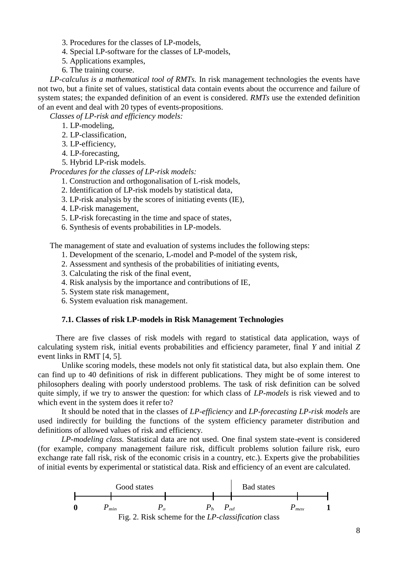- 3. Procedures for the classes of LP-models,
- 4. Special LP-software for the classes of LP-models,
- 5. Applications examples,
- 6. The training course.

*LP-calculus is a mathematical tool of RMTs.* In risk management technologies the events have not two, but a finite set of values, statistical data contain events about the occurrence and failure of system states; the expanded definition of an event is considered. *RMTs* use the extended definition of an event and deal with 20 types of events-propositions.

*Classes of LP-risk and efficiency models:*

1. LP-modeling,

- 2. LP-classification,
- 3. LP-efficiency,
- 4. LP-forecasting,
- 5. Hybrid LP-risk models.

*Procedures for the classes of LP-risk models:*

- 1. Construction and orthogonalisation of L-risk models,
- 2. Identification of LP-risk models by statistical data,
- 3. LP-risk analysis by the scores of initiating events (IE),
- 4. LP-risk management,
- 5. LP-risk forecasting in the time and space of states,
- 6. Synthesis of events probabilities in LP-models.

The management of state and evaluation of systems includes the following steps:

- 1. Development of the scenario, L-model and P-model of the system risk,
- 2. Assessment and synthesis of the probabilities of initiating events,
- 3. Calculating the risk of the final event,
- 4. Risk analysis by the importance and contributions of IE,
- 5. System state risk management,
- 6. System evaluation risk management.

# **7.1. Classes of risk LP-models in Risk Management Technologies**

There are five classes of risk models with regard to statistical data application, ways of calculating system risk, initial events probabilities and efficiency parameter, final *Y* and initial *Z*  event links in RMT [4, 5]*.*

Unlike scoring models, these models not only fit statistical data, but also explain them. One can find up to 40 definitions of risk in different publications. They might be of some interest to philosophers dealing with poorly understood problems. The task of risk definition can be solved quite simply, if we try to answer the question: for which class of *LP-models* is risk viewed and to which event in the system does it refer to?

It should be noted that in the classes of *LP-efficiency* and *LP-forecasting LP-risk models* are used indirectly for building the functions of the system efficiency parameter distribution and definitions of allowed values of risk and efficiency.

*LP-modeling class.* Statistical data are not used. One final system state-event is considered (for example, company management failure risk, difficult problems solution failure risk, euro exchange rate fall risk, risk of the economic crisis in a country, etc.). Experts give the probabilities of initial events by experimental or statistical data. Risk and efficiency of an event are calculated.



Fig. 2. Risk scheme for the *LP-classification* class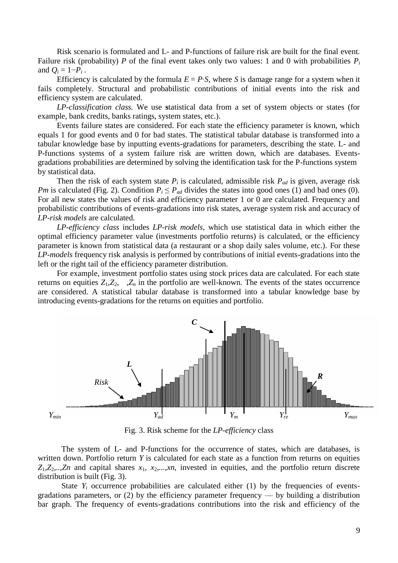Risk scenario is formulated and L- and P-functions of failure risk are built for the final event. Failure risk (probability) *P* of the final event takes only two values: 1 and 0 with probabilities  $P_i$ and  $Q_i = 1-P_i$ .

Efficiency is calculated by the formula  $E = P \cdot S$ , where *S* is damage range for a system when it fails completely. Structural and probabilistic contributions of initial events into the risk and efficiency system are calculated.

*LP-classification class.* We use **s**tatistical data from a set of system objects or states (for example, bank credits, banks ratings, system states, etc.).

Events failure states are considered. For each state the efficiency parameter is known, which equals 1 for good events and 0 for bad states. The statistical tabular database is transformed into a tabular knowledge base by inputting events-gradations for parameters, describing the state. L- and P-functions systems of a system failure risk are written down, which are databases. Eventsgradations probabilities are determined by solving the identification task for the P-functions system by statistical data.

Then the risk of each system state  $P_i$  is calculated, admissible risk  $P_{ad}$  is given, average risk *Pm* is calculated (Fig. 2). Condition  $P_i \leq P_{ad}$  divides the states into good ones (1) and bad ones (0). For all new states the values of risk and efficiency parameter 1 or 0 are calculated. Frequency and probabilistic contributions of events-gradations into risk states, average system risk and accuracy of *LP-risk models* are calculated.

*LP-efficiency class* includes *LP-risk models*, which use statistical data in which either the optimal efficiency parameter value (investments portfolio returns) is calculated, or the efficiency parameter is known from statistical data (a restaurant or a shop daily sales volume, etc.). For these *LP-models* frequency risk analysis is performed by contributions of initial events-gradations into the left or the right tail of the efficiency parameter distribution.

For example, investment portfolio states using stock prices data are calculated. For each state returns on equities  $Z_1, Z_2, \ldots, Z_n$  in the portfolio are well-known. The events of the states occurrence are considered. A statistical tabular database is transformed into a tabular knowledge base by introducing events-gradations for the returns on equities and portfolio.



Fig. 3. Risk scheme for the *LP-efficiency* class

The system of L- and P-functions for the occurrence of states, which are databases, is written down. Portfolio return *Y* is calculated for each state as a function from returns on equities  $Z_1, Z_2, \ldots, Z_n$  and capital shares  $x_1, x_2, \ldots, x_n$ , invested in equities, and the portfolio return discrete distribution is built (Fig. 3).

State  $Y_i$  occurrence probabilities are calculated either (1) by the frequencies of eventsgradations parameters, or  $(2)$  by the efficiency parameter frequency — by building a distribution bar graph. The frequency of events-gradations contributions into the risk and efficiency of the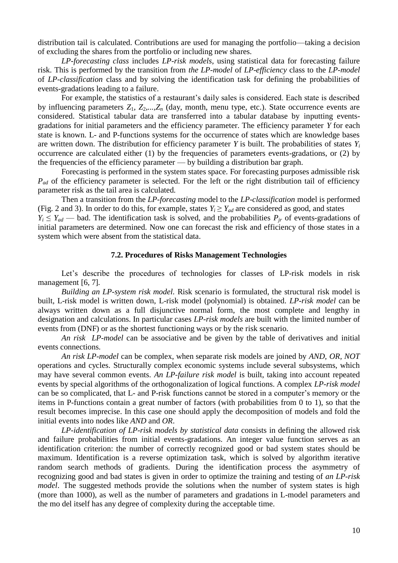distribution tail is calculated. Contributions are used for managing the portfolio—taking a decision of excluding the shares from the portfolio or including new shares.

*LP-forecasting class* includes *LP-risk models*, using statistical data for forecasting failure risk. This is performed by the transition from *the LP-model* of *LP-efficiency* class to the *LP-model*  of *LP-classification* class and by solving the identification task for defining the probabilities of events-gradations leading to a failure.

For example, the statistics of a restaurant's daily sales is considered. Each state is described by influencing parameters  $Z_1$ ,  $Z_2$ ,..., $Z_n$  (day, month, menu type, etc.). State occurrence events are considered. Statistical tabular data are transferred into a tabular database by inputting eventsgradations for initial parameters and the efficiency parameter. The efficiency parameter *Y* for each state is known. L- and P-functions systems for the occurrence of states which are knowledge bases are written down. The distribution for efficiency parameter *Y* is built. The probabilities of states *Y<sup>i</sup>* occurrence are calculated either (1) by the frequencies of parameters events-gradations, or (2) by the frequencies of the efficiency parameter — by building a distribution bar graph.

Forecasting is performed in the system states space. For forecasting purposes admissible risk *P<sub>ad</sub>* of the efficiency parameter is selected. For the left or the right distribution tail of efficiency parameter risk as the tail area is calculated.

Then a transition from the *LP-forecasting* model to the *LP-classification* model is performed (Fig. 2 and 3). In order to do this, for example, states  $Y_i \geq Y_{ad}$  are considered as good, and states

 $Y_i \leq Y_{ad}$  — bad. The identification task is solved, and the probabilities  $P_{ir}$  of events-gradations of initial parameters are determined. Now one can forecast the risk and efficiency of those states in a system which were absent from the statistical data.

### **7.2. Procedures of Risks Management Technologies**

Let's describe the procedures of technologies for classes of LP-risk models in risk management [6, 7]*.*

*Building an LP-system risk model.* Risk scenario is formulated, the structural risk model is built, L-risk model is written down, L-risk model (polynomial) is obtained. *LP-risk model* can be always written down as a full disjunctive normal form, the most complete and lengthy in designation and calculations. In particular cases *LP-risk models* are built with the limited number of events from (DNF) or as the shortest functioning ways or by the risk scenario.

*An risk LP-model* can be associative and be given by the table of derivatives and initial events connections.

*An risk LP-model* can be complex, when separate risk models are joined by *AND, OR, NOT*  operations and cycles. Structurally complex economic systems include several subsystems, which may have several common events. *An LP-failure risk model* is built, taking into account repeated events by special algorithms of the orthogonalization of logical functions. A complex *LP-risk model*  can be so complicated, that L- and P-risk functions cannot be stored in a computer's memory or the items in P-functions contain a great number of factors (with probabilities from 0 to 1), so that the result becomes imprecise. In this case one should apply the decomposition of models and fold the initial events into nodes like *AND* and *OR*.

*LP-identification of LP-risk models by statistical data* consists in defining the allowed risk and failure probabilities from initial events-gradations. An integer value function serves as an identification criterion: the number of correctly recognized good or bad system states should be maximum. Identification is a reverse optimization task, which is solved by algorithm iterative random search methods of gradients. During the identification process the asymmetry of recognizing good and bad states is given in order to optimize the training and testing of *an LP-risk model*. The suggested methods provide the solutions when the number of system states is high (more than 1000), as well as the number of parameters and gradations in L-model parameters and the mo del itself has any degree of complexity during the acceptable time.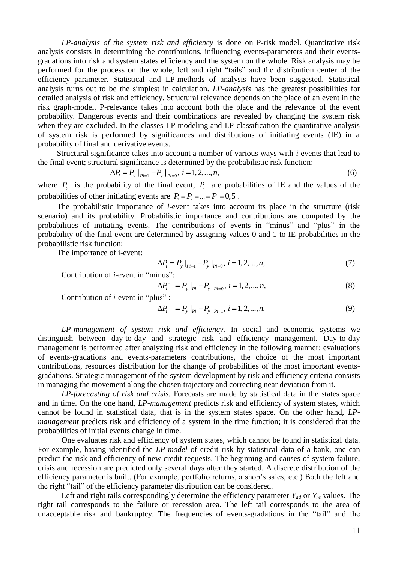*LP-analysis of the system risk and efficiency* is done on P-risk model. Quantitative risk analysis consists in determining the contributions, influencing events-parameters and their eventsgradations into risk and system states efficiency and the system on the whole. Risk analysis may be performed for the process on the whole, left and right "tails" and the distribution center of the efficiency parameter. Statistical and LP-methods of analysis have been suggested. Statistical analysis turns out to be the simplest in calculation. *LP-analysis* has the greatest possibilities for detailed analysis of risk and efficiency. Structural relevance depends on the place of an event in the risk graph-model. P-relevance takes into account both the place and the relevance of the event probability. Dangerous events and their combinations are revealed by changing the system risk when they are excluded. In the classes LP-modeling and LP-classification the quantitative analysis of system risk is performed by significances and distributions of initiating events (IE) in a probability of final and derivative events.

Structural significance takes into account a number of various ways with *i*-events that lead to the final event; structural significance is determined by the probabilistic risk function:<br>  $\Delta P_i = P_y |_{p_{i=1}} - P_y |_{p_{i=0}}, i = 1, 2, ..., n,$ 

$$
\Delta P_i = P_{y} \big|_{P_{i=1}} - P_{y} \big|_{P_{i=0}}, \ i = 1, 2, ..., n,
$$
\n(6)

where  $P_y$  is the probability of the final event,  $P_i$  are probabilities of IE and the values of the probabilities of other initiating events are  $P_1 = P_2 = ... = P_n = 0,5$ .

The probabilistic importance of *i*-event takes into account its place in the structure (risk scenario) and its probability. Probabilistic importance and contributions are computed by the probabilities of initiating events. The contributions of events in "minus" and "plus" in the probability of the final event are determined by assigning values 0 and 1 to IE probabilities in the probabilistic risk function:

The importance of i-event:

$$
\Delta P_i = P_{y} |_{p_{i=1}} - P_{y} |_{p_{i=0}}, \ i = 1, 2, ..., n,
$$
\n(7)

Contribution of *i*-event in "minus":

nus":  
\n
$$
\Delta P_i^- = P_y |_{pi} - P_y |_{pi=0}, i = 1, 2, ..., n,
$$
\n(8)

Contribution of *i*-event in "plus" :

as" :  
\n
$$
\Delta P_i^+ = P_y |_{p_i} - P_y |_{p_{i-1}}, i = 1, 2, ..., n.
$$
\n(9)

*LP-management of system risk and efficiency.* In social and economic systems we distinguish between day-to-day and strategic risk and efficiency management. Day-to-day management is performed after analyzing risk and efficiency in the following manner: evaluations of events-gradations and events-parameters contributions, the choice of the most important contributions, resources distribution for the change of probabilities of the most important eventsgradations. Strategic management of the system development by risk and efficiency criteria consists in managing the movement along the chosen trajectory and correcting near deviation from it.

*LP-forecasting of risk and crisis.* Forecasts are made by statistical data in the states space and in time. On the one hand, *LP-management* predicts risk and efficiency of system states, which cannot be found in statistical data, that is in the system states space. On the other hand, *LPmanagement* predicts risk and efficiency of a system in the time function; it is considered that the probabilities of initial events change in time.

One evaluates risk and efficiency of system states, which cannot be found in statistical data. For example, having identified the *LP-model* of credit risk by statistical data of a bank, one can predict the risk and efficiency of new credit requests. The beginning and causes of system failure, crisis and recession are predicted only several days after they started. A discrete distribution of the efficiency parameter is built. (For example, portfolio returns, a shop's sales, etc.) Both the left and the right "tail" of the efficiency parameter distribution can be considered.

Left and right tails correspondingly determine the efficiency parameter  $Y_{ad}$  or  $Y_{re}$  values. The right tail corresponds to the failure or recession area. The left tail corresponds to the area of unacceptable risk and bankruptcy. The frequencies of events-gradations in the "tail" and the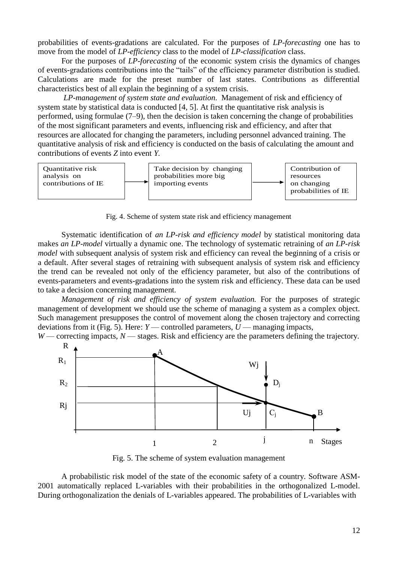probabilities of events-gradations are calculated. For the purposes of *LP-forecasting* one has to move from the model of *LP-efficiency* class to the model of *LP-classification* class.

For the purposes of *LP-forecasting* of the economic system crisis the dynamics of changes of events-gradations contributions into the "tails" of the efficiency parameter distribution is studied. Calculations are made for the preset number of last states. Contributions as differential characteristics best of all explain the beginning of a system crisis.

*LP-management of system state and evaluation.* Management of risk and efficiency of system state by statistical data is conducted [4, 5]. At first the quantitative risk analysis is performed, using formulae (7–9), then the decision is taken concerning the change of probabilities of the most significant parameters and events, influencing risk and efficiency, and after that resources are allocated for changing the parameters, including personnel advanced training. The quantitative analysis of risk and efficiency is conducted on the basis of calculating the amount and contributions of events *Z* into event *Y*.



Fig. 4. Scheme of system state risk and efficiency management

Systematic identification of *an LP-risk and efficiency model* by statistical monitoring data makes *an LP-model* virtually a dynamic one. The technology of systematic retraining of *an LP-risk model* with subsequent analysis of system risk and efficiency can reveal the beginning of a crisis or a default. After several stages of retraining with subsequent analysis of system risk and efficiency the trend can be revealed not only of the efficiency parameter, but also of the contributions of events-parameters and events-gradations into the system risk and efficiency. These data can be used to take a decision concerning management.

*Management of risk and efficiency of system evaluation.* For the purposes of strategic management of development we should use the scheme of managing a system as a complex object. Such management presupposes the control of movement along the chosen trajectory and correcting deviations from it (Fig. 5). Here: *Y* — controlled parameters, *U* — managing impacts,



Fig. 5. The scheme of system evaluation management

A probabilistic risk model of the state of the economic safety of a country. Software ASM-2001 automatically replaced L-variables with their probabilities in the orthogonalized L-model. During orthogonalization the denials of L-variables appeared. The probabilities of L-variables with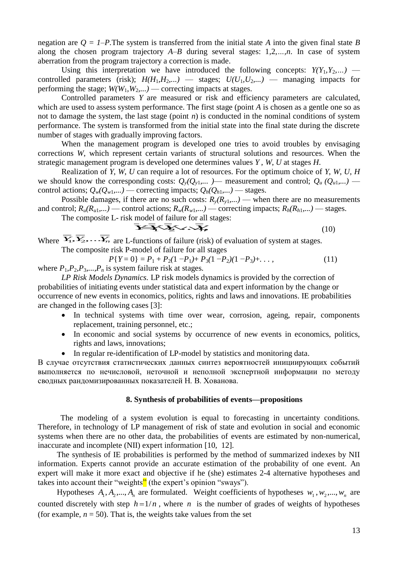negation are  $Q = I-P$ . The system is transferred from the initial state A into the given final state B along the chosen program trajectory *A*–*B* during several stages: 1*,*2*,…,n*. In case of system aberration from the program trajectory a correction is made.

Using this interpretation we have introduced the following concepts:  $Y(Y_1, Y_2,...)$  controlled parameters (risk);  $H(H_1, H_2,...)$  — stages;  $U(U_1, U_2,...)$  — managing impacts for performing the stage;  $W(W_1, W_2,...)$  — correcting impacts at stages.

Controlled parameters *Y* are measured or risk and efficiency parameters are calculated, which are used to assess system performance. The first stage (point *A* is chosen as a gentle one so as not to damage the system, the last stage (point *n*) is conducted in the nominal conditions of system performance. The system is transformed from the initial state into the final state during the discrete number of stages with gradually improving factors.

When the management program is developed one tries to avoid troubles by envisaging corrections *W*, which represent certain variants of structural solutions and resources. When the strategic management program is developed one determines values *Y* , *W*, *U* at stages *H*.

Realization of *Y*, *W*, *U* can require a lot of resources. For the optimum choice of *Y*, *W*, *U*, *H*  we should know the corresponding costs:  $Q_y(Q_{y1},...$  *)*— measurement and control;  $Q_u(Q_{u1},...)$  control actions;  $Q_w(Q_{w1},...)=$  correcting impacts;  $Q_h(Q_{h1},...)=$  stages.

Possible damages, if there are no such costs:  $R_y(R_{y1},...)$  — when there are no measurements and control;  $R_u(R_{u1},...)=$  control actions;  $R_w(R_{w1},...)=$  correcting impacts;  $R_h(R_{h1},...)=$  stages.

The composite L- risk model of failure for all stages: *YY*1*Y*2...*Y<sup>n</sup>* , (10)

Where  $\overline{Y_1}, \overline{Y_2}, \ldots, \overline{Y_n}$  are L-functions of failure (risk) of evaluation of system at stages. The composite risk P-model of failure for all stages

$$
P\{Y=0\} = P_1 + P_2(1-P_1) + P_3(1-P_2)(1-P_3) + \dots,
$$
\n(11)

where  $P_1, P_2, P_3, \ldots, P_n$  is system failure risk at stages.

*LP Risk Models Dynamics.* LP risk models dynamics is provided by the correction of probabilities of initiating events under statistical data and expert information by the change or occurrence of new events in economics, politics, rights and laws and innovations. IE probabilities are changed in the following cases [3]:

- In technical systems with time over wear, corrosion, ageing, repair, components replacement, training personnel, etc.;
- In economic and social systems by occurrence of new events in economics, politics, rights and laws, innovations;
- In regular re-identification of LP-model by statistics and monitoring data.

В случае отсутствия статистических данных синтез вероятностей инициирующих событий выполняется по нечисловой, неточной и неполной экспертной информации по методу сводных рандомизированных показателей Н. В. Хованова.

## **8. Synthesis of probabilities of events—propositions**

The modeling of a system evolution is equal to forecasting in uncertainty conditions. Therefore, in technology of LP management of risk of state and evolution in social and economic systems when there are no other data, the probabilities of events are estimated by non-numerical, inaccurate and incomplete (NII) expert information [10, 12].

The synthesis of IE probabilities is performed by the method of summarized indexes by NII information. Experts cannot provide an accurate estimation of the probability of one event. An expert will make it more exact and objective if he (she) estimates 2-4 alternative hypotheses and takes into account their "weights" (the expert's opinion "sways").

Hypotheses  $A_1, A_2, ..., A_n$  are formulated. Weight coefficients of hypotheses  $w_1, w_2, ..., w_n$  are counted discretely with step  $h = 1/n$ , where *n* is the number of grades of weights of hypotheses (for example,  $n = 50$ ). That is, the weights take values from the set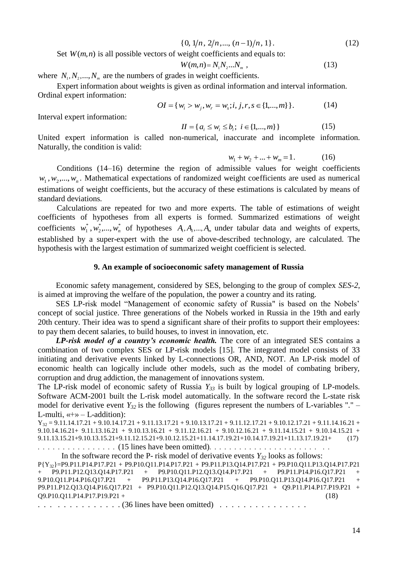$$
\{0, 1/n, 2/n, \ldots, (n-1)/n, 1\}.
$$
 (12)

Set  $W(m, n)$  is all possible vectors of weight coefficients and equals to:

$$
W(m,n) = N_1 N_2 ... N_m , \qquad (13)
$$

where  $N_1, N_2, \ldots, N_m$  are the numbers of grades in weight coefficients.

Expert information about weights is given as ordinal information and interval information. Ordinal expert information:

$$
OI = \{w_i > w_j, w_r = w_s; i, j, r, s \in \{1, ..., m\}\}.
$$
 (14)

Interval expert information:

$$
II = \{ a_i \le w_i \le b_i; i \in \{1, ..., m\} \}
$$
 (15)

United expert information is called non-numerical, inaccurate and incomplete information. Naturally, the condition is valid:

$$
w_1 + w_2 + \dots + w_m = 1. \tag{16}
$$

Conditions (14–16) determine the region of admissible values for weight coefficients  $w_1, w_2, \ldots, w_n$ . Mathematical expectations of randomized weight coefficients are used as numerical estimations of weight coefficients, but the accuracy of these estimations is calculated by means of standard deviations.

10, 1/*n*, 2/*n*,..., (*n* – 1)/*n*, 1]. (12)<br>
veight coefficients and equals to:<br>
W(*n,n*)= N/<sub>N</sub>,..N<sub>2</sub>, (13)<br>
W(*n,m*)= N/N<sub>1</sub>,...V<sub>2</sub>, (13)<br>
sin weight coefficients.<br>
ven as ordinal information and interval informatio Calculations are repeated for two and more experts. The table of estimations of weight coefficients of hypotheses from all experts is formed. Summarized estimations of weight coefficients  $w_1^*, w_2^*,..., w_n^*$ 2 \*  $w_1^*, w_2^*,..., w_n^*$  of hypotheses  $A_1, A_2,..., A_m$  under tabular data and weights of experts, established by a super-expert with the use of above-described technology, are calculated. The hypothesis with the largest estimation of summarized weight coefficient is selected.

### **9. An example of socioeconomic safety management of Russia**

Economic safety management, considered by SES, belonging to the group of complex *SES-2*, is aimed at improving the welfare of the population, the power a country and its rating.

SES LP-risk model "Management of economic safety of Russia" is based on the Nobels' concept of social justice. Three generations of the Nobels worked in Russia in the 19th and early 20th century. Their idea was to spend a significant share of their profits to support their employees: to pay them decent salaries, to build houses, to invest in innovation, etc.

*LP-risk model of a country's economic health.* The core of an integrated SES contains a combination of two complex SES or LP-risk models [15]. The integrated model consists of 33 initiating and derivative events linked by L-connections OR, AND, NOT. An LP-risk model of economic health can logically include other models, such as the model of combating bribery, corruption and drug addiction, the management of innovations system.

The LP-risk model of economic safety of Russia *Y<sup>33</sup>* is built by logical grouping of LP-models. Software ACM-2001 built the L-risk model automatically. In the software record the L-state risk model for derivative event  $Y_{32}$  is the following (figures represent the numbers of L-variables "." – L-multi,  $\langle \langle + \rangle \rangle$  – L-addition):

 $Y_{32} = 9.11.14.17.21 + 9.10.14.17.21 + 9.11.13.17.21 + 9.10.13.17.21 + 9.11.12.17.21 + 9.10.12.17.21 + 9.11.14.16.21 +$ 9.10.14.16.21+ 9.11.13.16.21 + 9.10.13.16.21 + 9.11.12.16.21 + 9.10.12.16.21 + 9.11.14.15.21 + 9.10.14.15.21 + 9.11.13.15.21+9.10.13.15.21+9.11.12.15.21+9.10.12.15.21+11.14.17.19.21+10.14.17.19.21+11.13.17.19.21+ (17)

 $\dots \dots \dots \dots$ . (15 lines have been omitted).  $\dots \dots \dots \dots \dots \dots \dots \dots \dots$ 

```
In the software record the P- risk model of derivative events Y_{32} looks as follows:
P{Y32}=P9.P11.P14.P17.P21 + P9.P10.Q11.P14.P17.P21 + P9.P11.P13.Q14.P17.P21 + P9.P10.Q11.P13.Q14.P17.P21 
+ \overrightarrow{P9}.\overrightarrow{P11}.\overrightarrow{P12}.\overrightarrow{Q13}.\overrightarrow{Q14}.\overrightarrow{P17}.\overrightarrow{P21} + \overrightarrow{P9}.\overrightarrow{P10}.\overrightarrow{Q11}.\overrightarrow{P12}.\overrightarrow{Q13}.\overrightarrow{Q14}.\overrightarrow{P17}.\overrightarrow{P21} + \overrightarrow{P9}.\overrightarrow{P11}.\overrightarrow{P14}.\overrightarrow{P16}.\overrightarrow{Q17}.\overrightarrow{P21}9.P10.Q11.P14.P16.Q17.P21 + P9.P11.P13.Q14.P16.Q17.P21 + P9.P10.Q11.P13.Q14.P16.Q17.P21
P9.P11.P12.Q13.Q14.P16.Q17.P21 + P9.P10.Q11.P12.Q13.Q14.P15.Q16.Q17.P21 + Q9.P11.P14.P17.P19.P21 + 
Q9.P10.Q11.P14.P17.P19.P21 + (18)
```
. . . . . . . . . . . . . . . . . . 36 lines have been omitted) . . . . . . . . . . . . . . . . .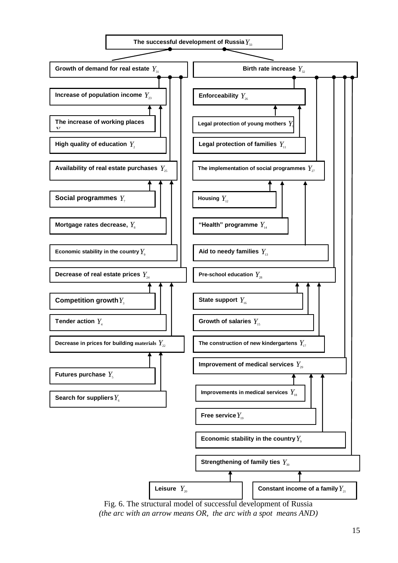

Fig. 6. The structural model of successful development of Russia *(the arc with an arrow means OR, the arc with a spot means AND)*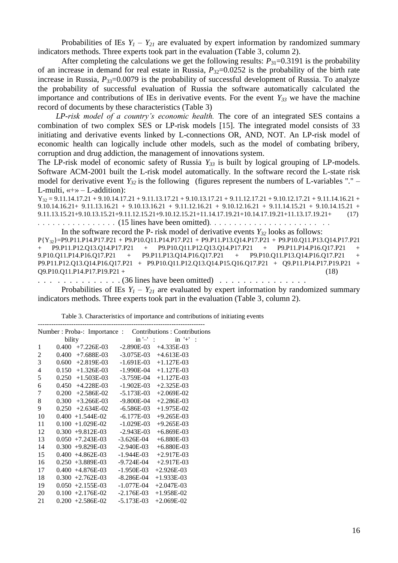Probabilities of IEs  $Y_1 - Y_{21}$  are evaluated by expert information by randomized summary indicators methods. Three experts took part in the evaluation (Table 3, column 2).

After completing the calculations we get the following results:  $P_{31}=0.3191$  is the probability of an increase in demand for real estate in Russia,  $P_{32}=0.0252$  is the probability of the birth rate increase in Russia,  $P_{33}=0.0079$  is the probability of successful development of Russia. To analyze the probability of successful evaluation of Russia the software automatically calculated the importance and contributions of IEs in derivative events. For the event *Y<sup>33</sup>* we have the machine record of documents by these characteristics (Table 3)

*LP-risk model of a country's economic health.* The core of an integrated SES contains a combination of two complex SES or LP-risk models [15]. The integrated model consists of 33 initiating and derivative events linked by L-connections OR, AND, NOT. An LP-risk model of economic health can logically include other models, such as the model of combating bribery, corruption and drug addiction, the management of innovations system.

The LP-risk model of economic safety of Russia  $Y_{33}$  is built by logical grouping of LP-models. Software ACM-2001 built the L-risk model automatically. In the software record the L-state risk model for derivative event  $Y_{32}$  is the following (figures represent the numbers of L-variables "." – L-multi,  $\langle \langle + \rangle \rangle$  – L-addition):

 $Y_{32} = 9.11.14.17.21 + 9.10.14.17.21 + 9.11.13.17.21 + 9.10.13.17.21 + 9.11.12.17.21 + 9.10.12.17.21 + 9.11.14.16.21 +$ 9.10.14.16.21+ 9.11.13.16.21 + 9.10.13.16.21 + 9.11.12.16.21 + 9.10.12.16.21 + 9.11.14.15.21 + 9.10.14.15.21 + 9.11.13.15.21+9.10.13.15.21+9.11.12.15.21+9.10.12.15.21+11.14.17.19.21+10.14.17.19.21+11.13.17.19.21+ (17) . . . . . . . . . . . . . . . . (15 lines have been omitted). . . . . . . . . . . . . . . . . . . . . . . . In the software record the P- risk model of derivative events  $Y_{32}$  looks as follows:  $P{Y_{32}}=P9.P11.P14.P17.P21 + P9.P10.Q11.P14.P17.P21 + P9.P11.P13.Q14.P17.P21 + P9.P10.Q11.P13.Q14.P17.P21 + P9.P11.P12.Q13.Q14.P17.P21 + P9.P11.P12.Q13.Q14.P17.P21 + P9.P11.P14.P16.Q17.P21 + P9.P11.P12.Q13.Q14.P17.P21 + P9.P11.P14.P16.Q17.P21 + P9.P11.P14.P16.Q17.P21 + P9.P11.P14.P16.Q17.P21 + P9.P11$ + P9.P10.Q11.P12.Q13.Q14.P17.P21 + P9.P11.P14.P16.Q17.P21 9.P10.Q11.P14.P16.Q17.P21 + P9.P11.P13.Q14.P16.Q17.P21 + P9.P10.Q11.P13.Q14.P16.Q17.P21 + P9.P11.P12.Q13.Q14.P16.Q17.P21 + P9.P10.Q11.P12.Q13.Q14.P15.Q16.Q17.P21 + Q9.P11.P14.P17.P19.P21 +  $Q9.P10.O11.P14.P17.P19.P21 +$  (18)

. . . . . . . . . . . . . . (36 lines have been omitted) . . . . . . . . . . . . . . .

Probabilities of IEs  $Y_1 - Y_{21}$  are evaluated by expert information by randomized summary indicators methods. Three experts took part in the evaluation (Table 3, column 2).

|    |                                                   |                   | Number : Proba-: Importance : Contributions : Contributions |  |  |  |  |
|----|---------------------------------------------------|-------------------|-------------------------------------------------------------|--|--|--|--|
|    | bility                                            | $\text{in}$ $-$ : | $in '+'$ :                                                  |  |  |  |  |
| 1  | $0.400 +7.226E-03$                                |                   | $-2.890E-03$ $+4.335E-03$                                   |  |  |  |  |
| 2  | $0.400 +7.688E-03$                                |                   | $-3.075E-03$ $+4.613E-03$                                   |  |  |  |  |
| 3  | $0.600 +2.819E-03$                                |                   | $-1.691E-03$ $+1.127E-03$                                   |  |  |  |  |
| 4  | $0.150 + 1.326E - 03$                             |                   | $-1.990E-04$ $+1.127E-03$                                   |  |  |  |  |
| 5  | $0.250 + 1.503E-03$                               |                   | $-3.759E-04$ $+1.127E-03$                                   |  |  |  |  |
| 6  | $0.450 +4.228E-03$                                |                   | $-1.902E-03$ $+2.325E-03$                                   |  |  |  |  |
| 7  | $0.200 +2.586E-02$                                |                   | $-5.173E-03$ $+2.069E-02$                                   |  |  |  |  |
| 8  | $0.300 +3.266E-03$                                |                   | $-9.800E-04$ $+2.286E-03$                                   |  |  |  |  |
| 9  | $0.250 +2.634E-02$                                |                   | $-6.586E-03$ $+1.975E-02$                                   |  |  |  |  |
| 10 | $0.400 + 1.544E - 02$                             |                   | $-6.177E-03$ $+9.265E-03$                                   |  |  |  |  |
| 11 | $0.100 + 1.029E - 02$                             |                   | $-1.029E-03$ $+9.265E-03$                                   |  |  |  |  |
| 12 | $0.300 +9.812E-03 -2.943E-03$                     |                   | $+6.869E-03$                                                |  |  |  |  |
| 13 | $0.050 + 7.243E - 03 - 3.626E - 04 + 6.880E - 03$ |                   |                                                             |  |  |  |  |
| 14 | $0.300 +9.829E-03 -2.940E-03 +6.880E-03$          |                   |                                                             |  |  |  |  |
| 15 | $0.400 +4.862E-03 -1.944E-03 +2.917E-03$          |                   |                                                             |  |  |  |  |
| 16 | $0.250 +3.889E-03 -9.724E-04 +2.917E-03$          |                   |                                                             |  |  |  |  |
| 17 | $0.400 +4.876E-03 -1.950E-03$                     |                   | $+2.926E-03$                                                |  |  |  |  |
| 18 | $0.300 +2.762E-03 -8.286E-04$                     |                   | $+1.933E-03$                                                |  |  |  |  |
| 19 | $0.050 +2.155E-03 -1.077E-04$                     |                   | $+2.047E-03$                                                |  |  |  |  |
| 20 | $0.100 +2.176E-02 -2.176E-03$                     |                   | $+1.958E-02$                                                |  |  |  |  |
| 21 | $0.200 +2.586E-02 -5.173E-03$                     |                   | $+2.069E-02$                                                |  |  |  |  |

---------------------------------------------------------------------------

Table 3. Characteristics of importance and contributions of initiating events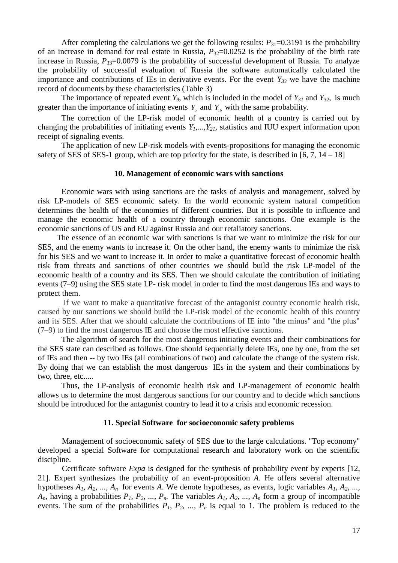After completing the calculations we get the following results:  $P_{31}=0.3191$  is the probability of an increase in demand for real estate in Russia,  $P_{32}=0.0252$  is the probability of the birth rate increase in Russia,  $P_{33}=0.0079$  is the probability of successful development of Russia. To analyze the probability of successful evaluation of Russia the software automatically calculated the importance and contributions of IEs in derivative events. For the event  $Y_{33}$  we have the machine record of documents by these characteristics (Table 3)

The importance of repeated event  $Y_9$ , which is included in the model of  $Y_{31}$  and  $Y_{32}$ , is much greater than the importance of initiating events  $Y_5$  and  $Y_{16}$  with the same probability.

The correction of the LP-risk model of economic health of a country is carried out by changing the probabilities of initiating events  $Y_1$ ,  $Y_2$ , statistics and IUU expert information upon receipt of signaling events.

The application of new LP-risk models with events-propositions for managing the economic safety of SES of SES-1 group, which are top priority for the state, is described in [6, 7, 14 *–* 18]

### **10. Management of economic wars with sanctions**

Economic wars with using sanctions are the tasks of analysis and management, solved by risk LP-models of SES economic safety. In the world economic system natural competition determines the health of the economies of different countries. But it is possible to influence and manage the economic health of a country through economic sanctions. One example is the economic sanctions of US and EU against Russia and our retaliatory sanctions.

The essence of an economic war with sanctions is that we want to minimize the risk for our SES, and the enemy wants to increase it. On the other hand, the enemy wants to minimize the risk for his SES and we want to increase it. In order to make a quantitative forecast of economic health risk from threats and sanctions of other countries we should build the risk LP-model of the economic health of a country and its SES. Then we should calculate the contribution of initiating events (7–9) using the SES state LP- risk model in order to find the most dangerous IEs and ways to protect them.

If we want to make a quantitative forecast of the antagonist country economic health risk, caused by our sanctions we should build the LP-risk model of the economic health of this country and its SES. After that we should calculate the contributions of IE into "the minus" and "the plus" (7–9) to find the most dangerous IE and choose the most effective sanctions.

The algorithm of search for the most dangerous initiating events and their combinations for the SES state can described as follows. One should sequentially delete IEs, one by one, from the set of IEs and then -- by two IEs (all combinations of two) and calculate the change of the system risk. By doing that we can establish the most dangerous IEs in the system and their combinations by two, three, etc.....

Thus, the LP-analysis of economic health risk and LP-management of economic health allows us to determine the most dangerous sanctions for our country and to decide which sanctions should be introduced for the antagonist country to lead it to a crisis and economic recession.

### **11. Special Software for socioeconomic safety problems**

Management of socioeconomic safety of SES due to the large calculations. "Top economy" developed a special Software for computational research and laboratory work on the scientific discipline.

Certificate software *Expa* is designed for the synthesis of probability event by experts [12, 21]. Expert synthesizes the probability of an event-proposition *A*. He offers several alternative hypotheses *A1, A2, ..., A<sup>n</sup>* for events *A*. We denote hypotheses, as events, logic variables *A1, A2, ...,*   $A_n$ , having a probabilities  $P_1$ ,  $P_2$ , ...,  $P_n$ . The variables  $A_1$ ,  $A_2$ , ...,  $A_n$  form a group of incompatible events. The sum of the probabilities  $P_1$ ,  $P_2$ , ...,  $P_n$  is equal to 1. The problem is reduced to the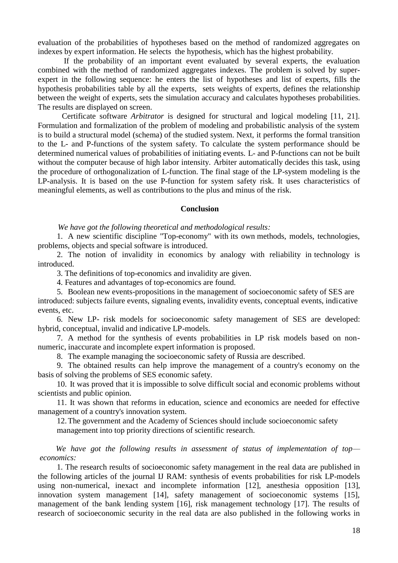evaluation of the probabilities of hypotheses based on the method of randomized aggregates on indexes by expert information. He selects the hypothesis, which has the highest probability.

If the probability of an important event evaluated by several experts, the evaluation combined with the method of randomized aggregates indexes. The problem is solved by superexpert in the following sequence: he enters the list of hypotheses and list of experts, fills the hypothesis probabilities table by all the experts, sets weights of experts, defines the relationship between the weight of experts, sets the simulation accuracy and calculates hypotheses probabilities. The results are displayed on screen.

Certificate software *Arbitrator* is designed for structural and logical modeling [11, 21]. Formulation and formalization of the problem of modeling and probabilistic analysis of the system is to build a structural model (schema) of the studied system. Next, it performs the formal transition to the L- and P-functions of the system safety. To calculate the system performance should be determined numerical values of probabilities of initiating events. L- and P-functions can not be built without the computer because of high labor intensity. Arbiter automatically decides this task, using the procedure of orthogonalization of L-function. The final stage of the LP-system modeling is the LP-analysis. It is based on the use P-function for system safety risk. It uses characteristics of meaningful elements, as well as contributions to the plus and minus of the risk.

### **Conclusion**

*We have got the following theoretical and methodological results:*

1. A new scientific discipline "Top-economy" with its own methods, models, technologies, problems, objects and special software is introduced.

2. The notion of invalidity in economics by analogy with reliability in technology is introduced.

3. The definitions of top-economics and invalidity are given.

4. Features and advantages of top-economics are found.

5. Boolean new events-propositions in the management of socioeconomic safety of SES are introduced: subjects failure events, signaling events, invalidity events, conceptual events, indicative events, etc.

6. New LP- risk models for socioeconomic safety management of SES are developed: hybrid, conceptual, invalid and indicative LP-models.

7. A method for the synthesis of events probabilities in LP risk models based on nonnumeric, inaccurate and incomplete expert information is proposed.

8. The example managing the socioeconomic safety of Russia are described.

9. The obtained results can help improve the management of a country's economy on the basis of solving the problems of SES economic safety.

10. It was proved that it is impossible to solve difficult social and economic problems without scientists and public opinion.

11. It was shown that reforms in education, science and economics are needed for effective management of a country's innovation system.

12.The government and the Academy of Sciences should include socioeconomic safety management into top priority directions of scientific research.

*We have got the following results in assessment of status of implementation of top economics:* 

1. The research results of socioeconomic safety management in the real data are published in the following articles of the journal IJ RAM: synthesis of events probabilities for risk LP-models using non-numerical, inexact and incomplete information [12], anesthesia opposition [13], innovation system management [14], safety management of socioeconomic systems [15], management of the bank lending system [16], risk management technology [17]. The results of research of socioeconomic security in the real data are also published in the following works in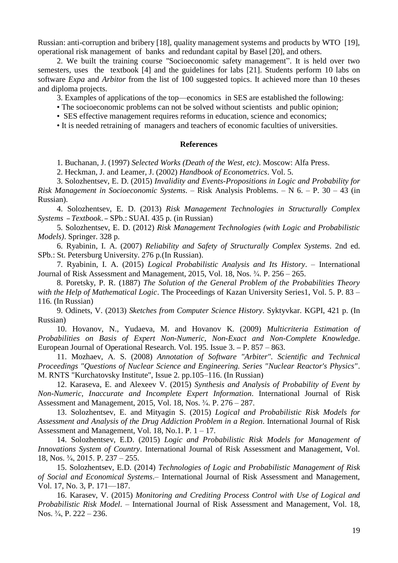Russian: anti-corruption and bribery [18], quality management systems and products by WTO [19], operational risk management of banks and redundant capital by Basel [20], and others.

2. We built the training course "Socioeconomic safety management". It is held over two semesters, uses the textbook [4] and the guidelines for labs [21]. Students perform 10 labs on software *Expa* and *Arbitor* from the list of 100 suggested topics. It achieved more than 10 theses and diploma projects.

3. Examples of applications of the top—economics in SES are established the following:

• The socioeconomic problems can not be solved without scientists and public opinion;

• SES effective management requires reforms in education, science and economics;

• It is needed retraining of managers and teachers of economic faculties of universities.

### **References**

1. Buchanan, J. (1997) *Selected Works (Death of the West, etc)*. Moscow: Alfa Press.

2. Heckman, J. and Leamer, J. (2002) *Handbook of Econometrics*. Vol. 5.

3. Solozhentsev, E. D. (2015) *Invalidity and Events-Propositions in Logic and Probability for Risk Management in Socioeconomic Systems*. – Risk Analysis Problems. – N 6. – P. 30 – 43 (in Russian).

4. Solozhentsev, E. D. (2013) *Risk Management Technologies in Structurally Complex Systems* – *Textbook*. – SPb.: SUAI. 435 p. (in Russian)

5. Solozhentsev, E. D. (2012) *Risk Management Technologies (with Logic and Probabilistic Models)*. Springer. 328 p.

6. Ryabinin, I. A. (2007) *Reliability and Safety of Structurally Complex Systems*. 2nd ed. SPb.: St. Petersburg University. 276 p.(In Russian).

7. Ryabinin, I. A. (2015) *Logical Probabilistic Analysis and Its History*. – International Journal of Risk Assessment and Management, 2015, Vol. 18, Nos. ¾. P. 256 – 265.

8. Poretsky, P. R. (1887) *The Solution of the General Problem of the Probabilities Theory with the Help of Mathematical Logic*. The Proceedings of Kazan University Series1, Vol. 5. P. 83 – 116. (In Russian)

9. Odinets, V. (2013) *Sketches from Computer Science History*. Syktyvkar. KGPI, 421 p. (In Russian)

10. Hovanov, N., Yudaeva, M. and Hovanov K. (2009) *Multicriteria Estimation of Probabilities on Basis of Expert Non-Numeric, Non-Exact and Non-Complete Knowledge*. European Journal of Operational Research. Vol. 195. Issue 3. **–** P. 857 – 863.

11. Mozhaev, А. S. (2008) *Annotation of Software "Arbiter". Scientific and Technical Proceedings "Questions of Nuclear Science and Engineering. Series "Nuclear Reactor's Physics"*. М. RNTS "Kurchatovsky Institute", Issue 2. pp.105–116. (In Russian)

12. Karaseva, E. and Alexeev V. (2015) *Synthesis and Analysis of Probability of Event by Non-Numeric, Inaccurate and Incomplete Expert Information*. International Journal of Risk Assessment and Management, 2015, Vol. 18, Nos. ¾. P. 276 – 287.

13. Solozhentsev, E. and Mityagin S. (2015) *Logical and Probabilistic Risk Models for Assessment and Analysis of the Drug Addiction Problem in a Region*. International Journal of Risk Assessment and Management, Vol. 18, No.1. P.  $1 - 17$ .

14. Solozhentsev, E.D. (2015) *Logic and Probabilistic Risk Models for Management of Innovations System of Country*. International Journal of Risk Assessment and Management, Vol. 18, Nos. ¾, 2015. P. 237 – 255.

15. Solozhentsev, E.D. (2014) *Technologies of Logic and Probabilistic Management of Risk of Social and Economical Systems*.– International Journal of Risk Assessment and Management, Vol. 17, No. 3, P. 171—187.

16. Karasev, V. (2015) *Monitoring and Crediting Process Control with Use of Logical and Probabilistic Risk Model*. – International Journal of Risk Assessment and Management, Vol. 18, Nos. ¾, P. 222 – 236.